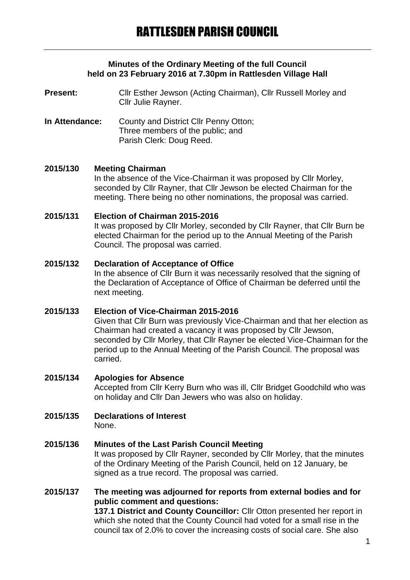### **Minutes of the Ordinary Meeting of the full Council held on 23 February 2016 at 7.30pm in Rattlesden Village Hall**

**Present:** Cllr Esther Jewson (Acting Chairman), Cllr Russell Morley and Cllr Julie Rayner.

**In Attendance:** County and District Cllr Penny Otton; Three members of the public; and Parish Clerk: Doug Reed.

### **2015/130 Meeting Chairman**

In the absence of the Vice-Chairman it was proposed by Cllr Morley, seconded by Cllr Rayner, that Cllr Jewson be elected Chairman for the meeting. There being no other nominations, the proposal was carried.

## **2015/131 Election of Chairman 2015-2016**

It was proposed by Cllr Morley, seconded by Cllr Rayner, that Cllr Burn be elected Chairman for the period up to the Annual Meeting of the Parish Council. The proposal was carried.

### **2015/132 Declaration of Acceptance of Office**

In the absence of Cllr Burn it was necessarily resolved that the signing of the Declaration of Acceptance of Office of Chairman be deferred until the next meeting.

## **2015/133 Election of Vice-Chairman 2015-2016**

Given that Cllr Burn was previously Vice-Chairman and that her election as Chairman had created a vacancy it was proposed by Cllr Jewson, seconded by Cllr Morley, that Cllr Rayner be elected Vice-Chairman for the period up to the Annual Meeting of the Parish Council. The proposal was carried.

### **2015/134 Apologies for Absence**

Accepted from Cllr Kerry Burn who was ill, Cllr Bridget Goodchild who was on holiday and Cllr Dan Jewers who was also on holiday.

# **2015/135 Declarations of Interest**

None.

## **2015/136 Minutes of the Last Parish Council Meeting**

It was proposed by Cllr Rayner, seconded by Cllr Morley, that the minutes of the Ordinary Meeting of the Parish Council, held on 12 January, be signed as a true record. The proposal was carried.

## **2015/137 The meeting was adjourned for reports from external bodies and for public comment and questions:**

**137.1 District and County Councillor:** Cllr Otton presented her report in which she noted that the County Council had voted for a small rise in the council tax of 2.0% to cover the increasing costs of social care. She also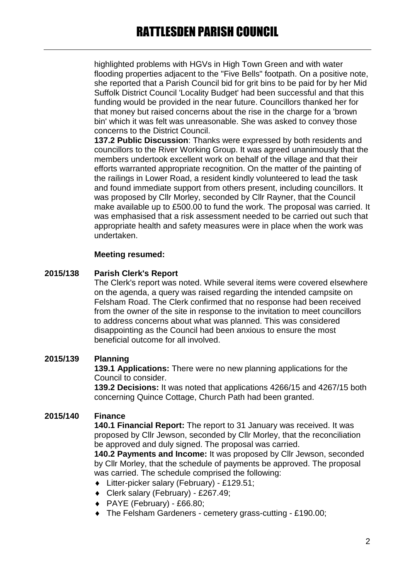highlighted problems with HGVs in High Town Green and with water flooding properties adjacent to the "Five Bells" footpath. On a positive note, she reported that a Parish Council bid for grit bins to be paid for by her Mid Suffolk District Council 'Locality Budget' had been successful and that this funding would be provided in the near future. Councillors thanked her for that money but raised concerns about the rise in the charge for a 'brown bin' which it was felt was unreasonable. She was asked to convey those concerns to the District Council.

**137.2 Public Discussion**: Thanks were expressed by both residents and councillors to the River Working Group. It was agreed unanimously that the members undertook excellent work on behalf of the village and that their efforts warranted appropriate recognition. On the matter of the painting of the railings in Lower Road, a resident kindly volunteered to lead the task and found immediate support from others present, including councillors. It was proposed by Cllr Morley, seconded by Cllr Rayner, that the Council make available up to £500.00 to fund the work. The proposal was carried. It was emphasised that a risk assessment needed to be carried out such that appropriate health and safety measures were in place when the work was undertaken.

## **Meeting resumed:**

## **2015/138 Parish Clerk's Report**

The Clerk's report was noted. While several items were covered elsewhere on the agenda, a query was raised regarding the intended campsite on Felsham Road. The Clerk confirmed that no response had been received from the owner of the site in response to the invitation to meet councillors to address concerns about what was planned. This was considered disappointing as the Council had been anxious to ensure the most beneficial outcome for all involved.

## **2015/139 Planning**

**139.1 Applications:** There were no new planning applications for the Council to consider.

**139.2 Decisions:** It was noted that applications 4266/15 and 4267/15 both concerning Quince Cottage, Church Path had been granted.

## **2015/140 Finance**

**140.1 Financial Report:** The report to 31 January was received. It was proposed by Cllr Jewson, seconded by Cllr Morley, that the reconciliation be approved and duly signed. The proposal was carried.

**140.2 Payments and Income:** It was proposed by Cllr Jewson, seconded by Cllr Morley, that the schedule of payments be approved. The proposal was carried. The schedule comprised the following:

- ◆ Litter-picker salary (February) £129.51;
- Clerk salary (February) £267.49;
- $\leftrightarrow$  PAYE (February) £66.80;
- The Felsham Gardeners cemetery grass-cutting £190.00;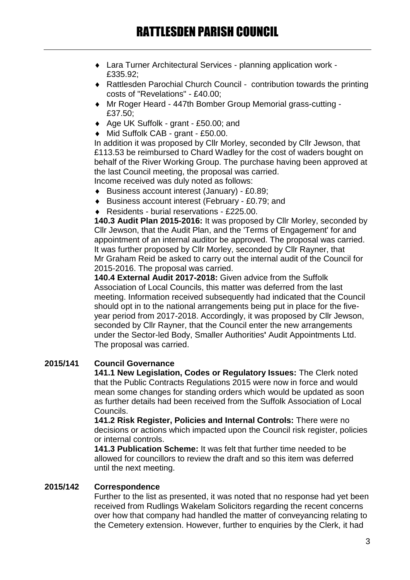- Lara Turner Architectural Services planning application work £335.92;
- Rattlesden Parochial Church Council contribution towards the printing costs of "Revelations" - £40.00;
- Mr Roger Heard 447th Bomber Group Memorial grass-cutting £37.50;
- ◆ Age UK Suffolk grant £50.00; and
- ◆ Mid Suffolk CAB grant £50.00.

In addition it was proposed by Cllr Morley, seconded by Cllr Jewson, that £113.53 be reimbursed to Chard Wadley for the cost of waders bought on behalf of the River Working Group. The purchase having been approved at the last Council meeting, the proposal was carried. Income received was duly noted as follows:

- ◆ Business account interest (January) £0.89;
- Business account interest (February £0.79; and
- ◆ Residents burial reservations £225.00.

**140.3 Audit Plan 2015-2016:** It was proposed by Cllr Morley, seconded by Cllr Jewson, that the Audit Plan, and the 'Terms of Engagement' for and appointment of an internal auditor be approved. The proposal was carried. It was further proposed by Cllr Morley, seconded by Cllr Rayner, that Mr Graham Reid be asked to carry out the internal audit of the Council for 2015-2016. The proposal was carried.

**140.4 External Audit 2017-2018:** Given advice from the Suffolk Association of Local Councils, this matter was deferred from the last meeting. Information received subsequently had indicated that the Council should opt in to the national arrangements being put in place for the fiveyear period from 2017-2018. Accordingly, it was proposed by Cllr Jewson, seconded by Cllr Rayner, that the Council enter the new arrangements under the Sector-led Body, Smaller Authorities**'** Audit Appointments Ltd. The proposal was carried.

## **2015/141 Council Governance**

**141.1 New Legislation, Codes or Regulatory Issues:** The Clerk noted that the Public Contracts Regulations 2015 were now in force and would mean some changes for standing orders which would be updated as soon as further details had been received from the Suffolk Association of Local Councils.

**141.2 Risk Register, Policies and Internal Controls:** There were no decisions or actions which impacted upon the Council risk register, policies or internal controls.

**141.3 Publication Scheme:** It was felt that further time needed to be allowed for councillors to review the draft and so this item was deferred until the next meeting.

## **2015/142 Correspondence**

Further to the list as presented, it was noted that no response had yet been received from Rudlings Wakelam Solicitors regarding the recent concerns over how that company had handled the matter of conveyancing relating to the Cemetery extension. However, further to enquiries by the Clerk, it had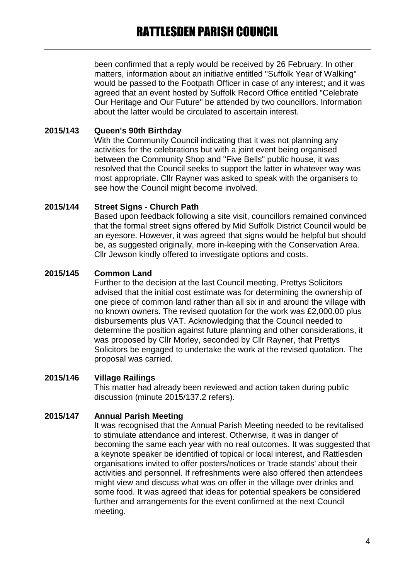been confirmed that a reply would be received by 26 February. In other matters, information about an initiative entitled "Suffolk Year of Walking" would be passed to the Footpath Officer in case of any interest; and it was agreed that an event hosted by Suffolk Record Office entitled "Celebrate Our Heritage and Our Future" be attended by two councillors. Information about the latter would be circulated to ascertain interest.

## **2015/143 Queen's 90th Birthday**

With the Community Council indicating that it was not planning any activities for the celebrations but with a joint event being organised between the Community Shop and "Five Bells" public house, it was resolved that the Council seeks to support the latter in whatever way was most appropriate. Cllr Rayner was asked to speak with the organisers to see how the Council might become involved.

### **2015/144 Street Signs - Church Path**

Based upon feedback following a site visit, councillors remained convinced that the formal street signs offered by Mid Suffolk District Council would be an eyesore. However, it was agreed that signs would be helpful but should be, as suggested originally, more in-keeping with the Conservation Area. Cllr Jewson kindly offered to investigate options and costs.

### **2015/145 Common Land**

Further to the decision at the last Council meeting, Prettys Solicitors advised that the initial cost estimate was for determining the ownership of one piece of common land rather than all six in and around the village with no known owners. The revised quotation for the work was £2,000.00 plus disbursements plus VAT. Acknowledging that the Council needed to determine the position against future planning and other considerations, it was proposed by Cllr Morley, seconded by Cllr Rayner, that Prettys Solicitors be engaged to undertake the work at the revised quotation. The proposal was carried.

### **2015/146 Village Railings**

This matter had already been reviewed and action taken during public discussion (minute 2015/137.2 refers).

## **2015/147 Annual Parish Meeting**

It was recognised that the Annual Parish Meeting needed to be revitalised to stimulate attendance and interest. Otherwise, it was in danger of becoming the same each year with no real outcomes. It was suggested that a keynote speaker be identified of topical or local interest, and Rattlesden organisations invited to offer posters/notices or 'trade stands' about their activities and personnel. If refreshments were also offered then attendees might view and discuss what was on offer in the village over drinks and some food. It was agreed that ideas for potential speakers be considered further and arrangements for the event confirmed at the next Council meeting.